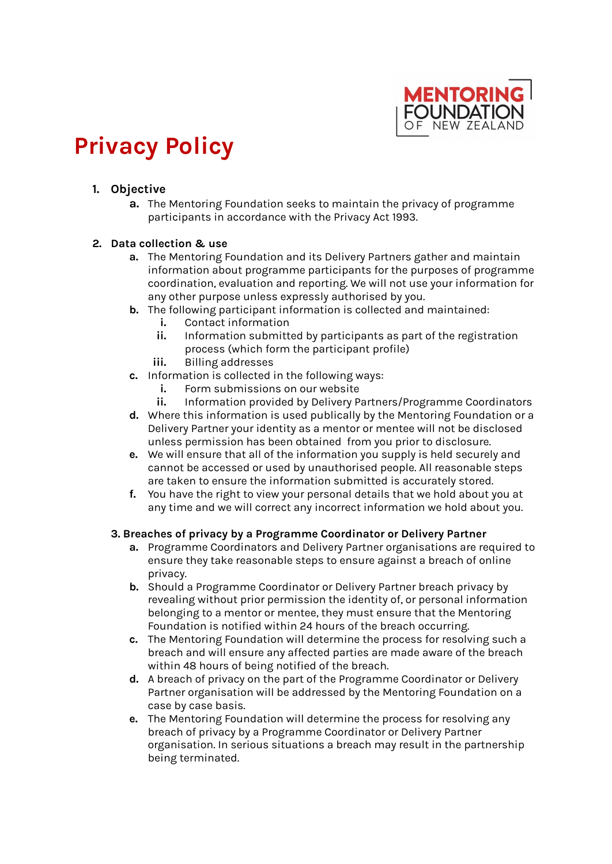

# **Privacy Policy**

## **1. Objective**

**a.** The Mentoring Foundation seeks to maintain the privacy of programme participants in accordance with the Privacy Act 1993.

## **2. Data collection & use**

- **a.** The Mentoring Foundation and its Delivery Partners gather and maintain information about programme participants for the purposes of programme coordination, evaluation and reporting. We will not use your information for any other purpose unless expressly authorised by you.
- **b.** The following participant information is collected and maintained:
	- **i.** Contact information
	- **ii.** Information submitted by participants as part of the registration process (which form the participant profile)
	- **iii.** Billing addresses
- **c.** Information is collected in the following ways:
	- **i.** Form submissions on our website
- **ii.** Information provided by Delivery Partners/Programme Coordinators **d.** Where this information is used publically by the Mentoring Foundation or a
- Delivery Partner your identity as a mentor or mentee will not be disclosed unless permission has been obtained from you prior to disclosure.
- **e.** We will ensure that all of the information you supply is held securely and cannot be accessed or used by unauthorised people. All reasonable steps are taken to ensure the information submitted is accurately stored.
- **f.** You have the right to view your personal details that we hold about you at any time and we will correct any incorrect information we hold about you.

### **3. Breaches of privacy by a Programme Coordinator or Delivery Partner**

- **a.** Programme Coordinators and Delivery Partner organisations are required to ensure they take reasonable steps to ensure against a breach of online privacy.
- **b.** Should a Programme Coordinator or Delivery Partner breach privacy by revealing without prior permission the identity of, or personal information belonging to a mentor or mentee, they must ensure that the Mentoring Foundation is notified within 24 hours of the breach occurring.
- **c.** The Mentoring Foundation will determine the process for resolving such a breach and will ensure any affected parties are made aware of the breach within 48 hours of being notified of the breach.
- **d.** A breach of privacy on the part of the Programme Coordinator or Delivery Partner organisation will be addressed by the Mentoring Foundation on a case by case basis.
- **e.** The Mentoring Foundation will determine the process for resolving any breach of privacy by a Programme Coordinator or Delivery Partner organisation. In serious situations a breach may result in the partnership being terminated.